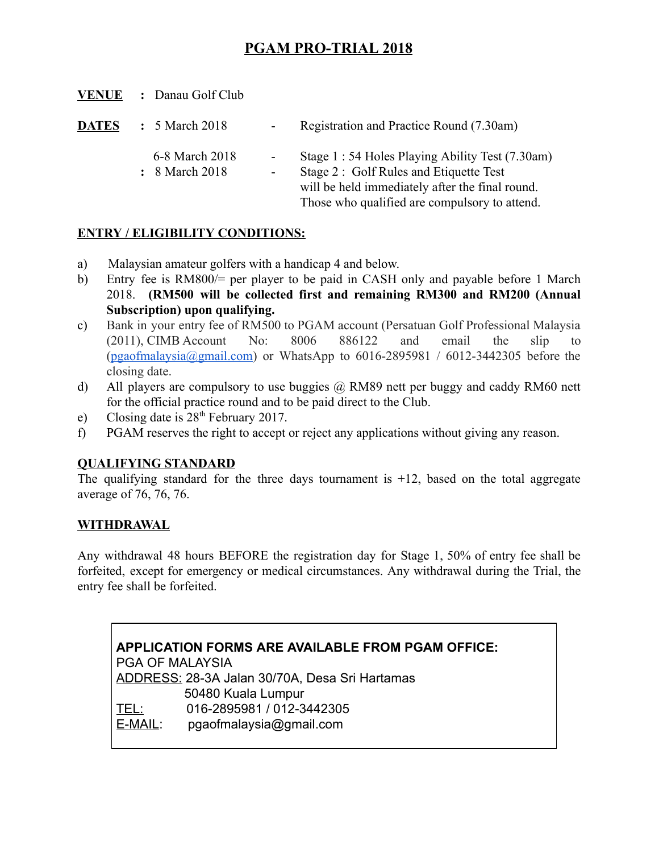## PGAM PRO-TRIAL 2018

VENUE : Danau Golf Club

| <b>DATES</b> | $\div$ 5 March 2018              | $\sim 100$ | Registration and Practice Round (7.30am)                                                                                                      |
|--------------|----------------------------------|------------|-----------------------------------------------------------------------------------------------------------------------------------------------|
|              | 6-8 March 2018<br>: 8 March 2018 |            | Stage 1 : 54 Holes Playing Ability Test (7.30am)<br>Stage 2: Golf Rules and Etiquette Test<br>will be held immediately after the final round. |

Those who qualified are compulsory to attend.

### ENTRY / ELIGIBILITY CONDITIONS:

- a) Malaysian amateur golfers with a handicap 4 and below.
- b) Entry fee is RM800/= per player to be paid in CASH only and payable before 1 March 2018. (RM500 will be collected first and remaining RM300 and RM200 (Annual Subscription) upon qualifying.
- c) Bank in your entry fee of RM500 to PGAM account (Persatuan Golf Professional Malaysia (2011), CIMB Account No: 8006 886122 and email the slip to (pgaofmalaysia@gmail.com) or WhatsApp to  $6016-2895981 / 6012-3442305$  before the closing date.
- d) All players are compulsory to use buggies  $\omega$  RM89 nett per buggy and caddy RM60 nett for the official practice round and to be paid direct to the Club.
- e) Closing date is  $28<sup>th</sup>$  February 2017.
- f) PGAM reserves the right to accept or reject any applications without giving any reason.

#### QUALIFYING STANDARD

The qualifying standard for the three days tournament is  $+12$ , based on the total aggregate average of 76, 76, 76.

#### **WITHDRAWAL**

Any withdrawal 48 hours BEFORE the registration day for Stage 1, 50% of entry fee shall be forfeited, except for emergency or medical circumstances. Any withdrawal during the Trial, the entry fee shall be forfeited.